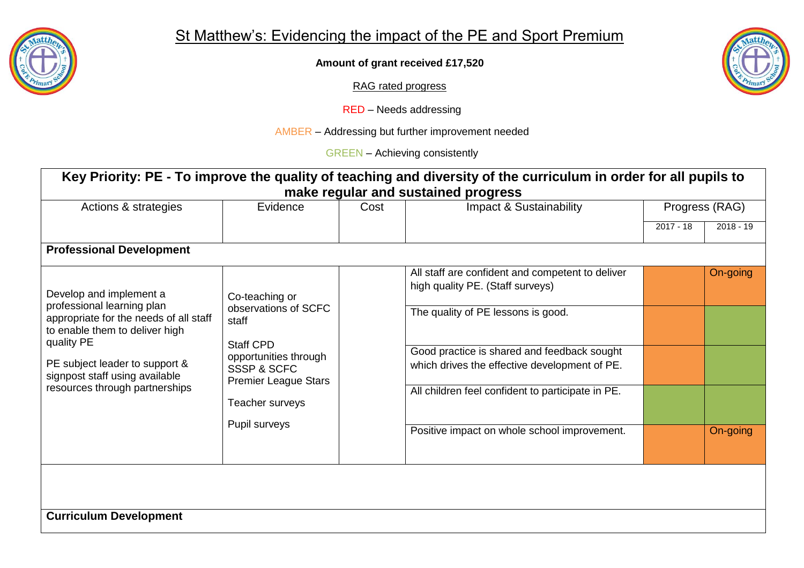

**Amount of grant received £17,520**

RAG rated progress

RED – Needs addressing

AMBER – Addressing but further improvement needed

GREEN – Achieving consistently

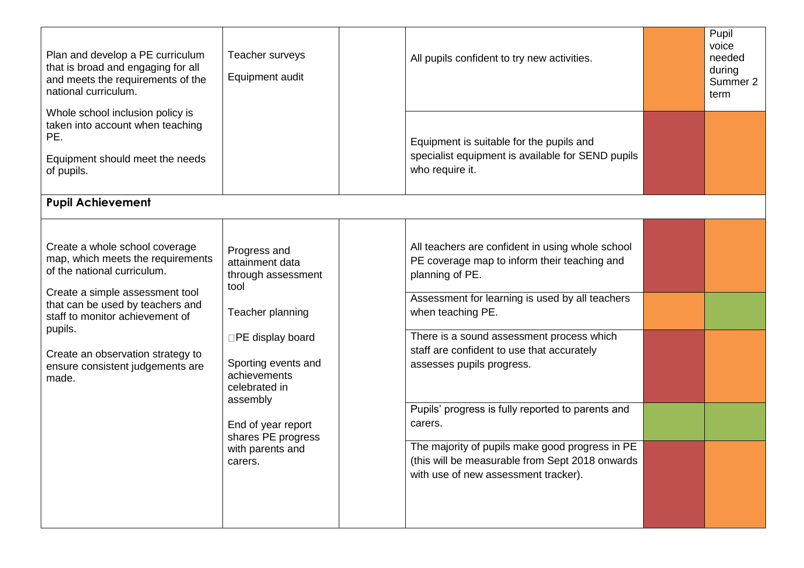| Plan and develop a PE curriculum<br>that is broad and engaging for all<br>and meets the requirements of the<br>national curriculum.                                                                                                                                                                       | Teacher surveys<br>Equipment audit                                                                                                                                                                                                                    | All pupils confident to try new activities.                                                                                                                                                                                                                                                                                                                                                                                                                                                                                       | Pupil<br>voice<br>needed<br>during<br>Summer 2<br>term |
|-----------------------------------------------------------------------------------------------------------------------------------------------------------------------------------------------------------------------------------------------------------------------------------------------------------|-------------------------------------------------------------------------------------------------------------------------------------------------------------------------------------------------------------------------------------------------------|-----------------------------------------------------------------------------------------------------------------------------------------------------------------------------------------------------------------------------------------------------------------------------------------------------------------------------------------------------------------------------------------------------------------------------------------------------------------------------------------------------------------------------------|--------------------------------------------------------|
| Whole school inclusion policy is<br>taken into account when teaching<br>PE.<br>Equipment should meet the needs<br>of pupils.                                                                                                                                                                              |                                                                                                                                                                                                                                                       | Equipment is suitable for the pupils and<br>specialist equipment is available for SEND pupils<br>who require it.                                                                                                                                                                                                                                                                                                                                                                                                                  |                                                        |
| <b>Pupil Achievement</b>                                                                                                                                                                                                                                                                                  |                                                                                                                                                                                                                                                       |                                                                                                                                                                                                                                                                                                                                                                                                                                                                                                                                   |                                                        |
| Create a whole school coverage<br>map, which meets the requirements<br>of the national curriculum.<br>Create a simple assessment tool<br>that can be used by teachers and<br>staff to monitor achievement of<br>pupils.<br>Create an observation strategy to<br>ensure consistent judgements are<br>made. | Progress and<br>attainment data<br>through assessment<br>tool<br>Teacher planning<br>□PE display board<br>Sporting events and<br>achievements<br>celebrated in<br>assembly<br>End of year report<br>shares PE progress<br>with parents and<br>carers. | All teachers are confident in using whole school<br>PE coverage map to inform their teaching and<br>planning of PE.<br>Assessment for learning is used by all teachers<br>when teaching PE.<br>There is a sound assessment process which<br>staff are confident to use that accurately<br>assesses pupils progress.<br>Pupils' progress is fully reported to parents and<br>carers.<br>The majority of pupils make good progress in PE<br>(this will be measurable from Sept 2018 onwards<br>with use of new assessment tracker). |                                                        |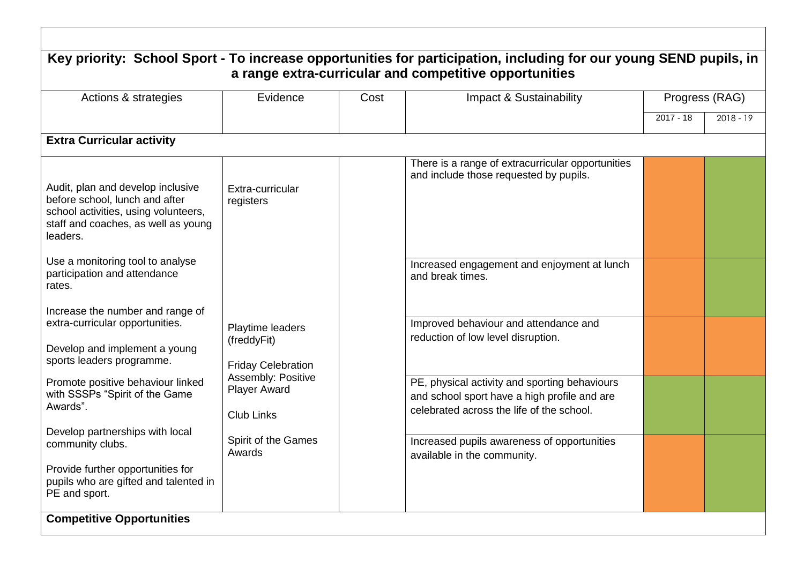| Actions & strategies                                                                                                                                                                                                 | Evidence                                                                                                                       | Cost | Impact & Sustainability                                                                                                                                                                                                   | Progress (RAG) |             |
|----------------------------------------------------------------------------------------------------------------------------------------------------------------------------------------------------------------------|--------------------------------------------------------------------------------------------------------------------------------|------|---------------------------------------------------------------------------------------------------------------------------------------------------------------------------------------------------------------------------|----------------|-------------|
|                                                                                                                                                                                                                      |                                                                                                                                |      |                                                                                                                                                                                                                           | $2017 - 18$    | $2018 - 19$ |
| <b>Extra Curricular activity</b>                                                                                                                                                                                     |                                                                                                                                |      |                                                                                                                                                                                                                           |                |             |
| Audit, plan and develop inclusive<br>before school, lunch and after<br>school activities, using volunteers,<br>staff and coaches, as well as young<br>leaders.                                                       | Extra-curricular<br>registers                                                                                                  |      | There is a range of extracurricular opportunities<br>and include those requested by pupils.                                                                                                                               |                |             |
| Use a monitoring tool to analyse<br>participation and attendance<br>rates.                                                                                                                                           |                                                                                                                                |      | Increased engagement and enjoyment at lunch<br>and break times.                                                                                                                                                           |                |             |
| Increase the number and range of<br>extra-curricular opportunities.<br>Develop and implement a young<br>sports leaders programme.<br>Promote positive behaviour linked<br>with SSSPs "Spirit of the Game<br>Awards". | Playtime leaders<br>(freddyFit)<br><b>Friday Celebration</b><br>Assembly: Positive<br><b>Player Award</b><br><b>Club Links</b> |      | Improved behaviour and attendance and<br>reduction of low level disruption.<br>PE, physical activity and sporting behaviours<br>and school sport have a high profile and are<br>celebrated across the life of the school. |                |             |
| Develop partnerships with local<br>community clubs.<br>Provide further opportunities for<br>pupils who are gifted and talented in<br>PE and sport.                                                                   | Spirit of the Games<br>Awards                                                                                                  |      | Increased pupils awareness of opportunities<br>available in the community.                                                                                                                                                |                |             |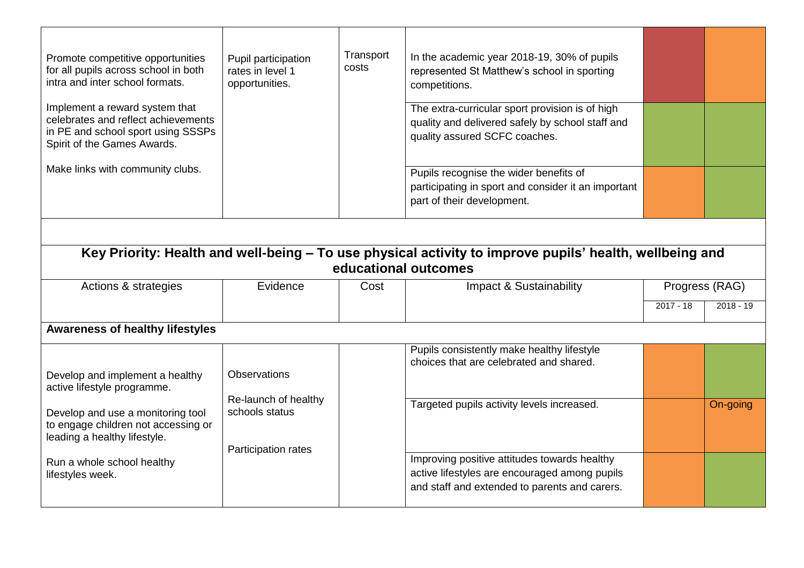| Promote competitive opportunities<br>for all pupils across school in both<br>intra and inter school formats.                               | Pupil participation<br>rates in level 1<br>opportunities.     | Transport<br>costs | In the academic year 2018-19, 30% of pupils<br>represented St Matthew's school in sporting<br>competitions.                          |             |                |  |
|--------------------------------------------------------------------------------------------------------------------------------------------|---------------------------------------------------------------|--------------------|--------------------------------------------------------------------------------------------------------------------------------------|-------------|----------------|--|
| Implement a reward system that<br>celebrates and reflect achievements<br>in PE and school sport using SSSPs<br>Spirit of the Games Awards. |                                                               |                    | The extra-curricular sport provision is of high<br>quality and delivered safely by school staff and<br>quality assured SCFC coaches. |             |                |  |
| Make links with community clubs.                                                                                                           |                                                               |                    | Pupils recognise the wider benefits of<br>participating in sport and consider it an important<br>part of their development.          |             |                |  |
|                                                                                                                                            |                                                               |                    |                                                                                                                                      |             |                |  |
| Key Priority: Health and well-being - To use physical activity to improve pupils' health, wellbeing and<br>educational outcomes            |                                                               |                    |                                                                                                                                      |             |                |  |
|                                                                                                                                            |                                                               |                    |                                                                                                                                      |             |                |  |
| Actions & strategies                                                                                                                       | Evidence                                                      | Cost               | Impact & Sustainability                                                                                                              |             | Progress (RAG) |  |
|                                                                                                                                            |                                                               |                    |                                                                                                                                      | $2017 - 18$ | $2018 - 19$    |  |
| <b>Awareness of healthy lifestyles</b>                                                                                                     |                                                               |                    |                                                                                                                                      |             |                |  |
| Develop and implement a healthy<br>active lifestyle programme.                                                                             | <b>Observations</b>                                           |                    | Pupils consistently make healthy lifestyle<br>choices that are celebrated and shared.                                                |             |                |  |
| Develop and use a monitoring tool<br>to engage children not accessing or<br>leading a healthy lifestyle.                                   | Re-launch of healthy<br>schools status<br>Participation rates |                    | Targeted pupils activity levels increased.                                                                                           |             | On-going       |  |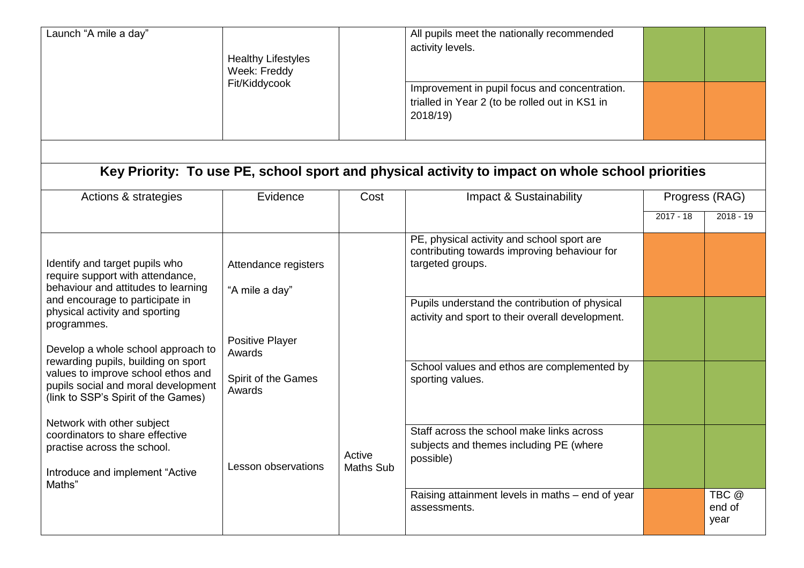| Launch "A mile a day"                                                                                                                                                                                                                                                                                                                                                                                                                                                                                                                       | <b>Healthy Lifestyles</b><br>Week: Freddy<br>Fit/Kiddycook                                                                  |                            | All pupils meet the nationally recommended<br>activity levels.<br>Improvement in pupil focus and concentration.<br>trialled in Year 2 (to be rolled out in KS1 in<br>2018/19)                                                                                                                                                                                                                                                                                    |             |                 |  |
|---------------------------------------------------------------------------------------------------------------------------------------------------------------------------------------------------------------------------------------------------------------------------------------------------------------------------------------------------------------------------------------------------------------------------------------------------------------------------------------------------------------------------------------------|-----------------------------------------------------------------------------------------------------------------------------|----------------------------|------------------------------------------------------------------------------------------------------------------------------------------------------------------------------------------------------------------------------------------------------------------------------------------------------------------------------------------------------------------------------------------------------------------------------------------------------------------|-------------|-----------------|--|
| Key Priority: To use PE, school sport and physical activity to impact on whole school priorities                                                                                                                                                                                                                                                                                                                                                                                                                                            |                                                                                                                             |                            |                                                                                                                                                                                                                                                                                                                                                                                                                                                                  |             |                 |  |
| Actions & strategies                                                                                                                                                                                                                                                                                                                                                                                                                                                                                                                        | Evidence                                                                                                                    | Cost                       | Impact & Sustainability                                                                                                                                                                                                                                                                                                                                                                                                                                          |             | Progress (RAG)  |  |
|                                                                                                                                                                                                                                                                                                                                                                                                                                                                                                                                             |                                                                                                                             |                            |                                                                                                                                                                                                                                                                                                                                                                                                                                                                  | $2017 - 18$ | $2018 - 19$     |  |
| Identify and target pupils who<br>require support with attendance,<br>behaviour and attitudes to learning<br>and encourage to participate in<br>physical activity and sporting<br>programmes.<br>Develop a whole school approach to<br>rewarding pupils, building on sport<br>values to improve school ethos and<br>pupils social and moral development<br>(link to SSP's Spirit of the Games)<br>Network with other subject<br>coordinators to share effective<br>practise across the school.<br>Introduce and implement "Active<br>Maths" | Attendance registers<br>"A mile a day"<br>Positive Player<br>Awards<br>Spirit of the Games<br>Awards<br>Lesson observations | Active<br><b>Maths Sub</b> | PE, physical activity and school sport are<br>contributing towards improving behaviour for<br>targeted groups.<br>Pupils understand the contribution of physical<br>activity and sport to their overall development.<br>School values and ethos are complemented by<br>sporting values.<br>Staff across the school make links across<br>subjects and themes including PE (where<br>possible)<br>Raising attainment levels in maths - end of year<br>assessments. |             | TBC @<br>end of |  |